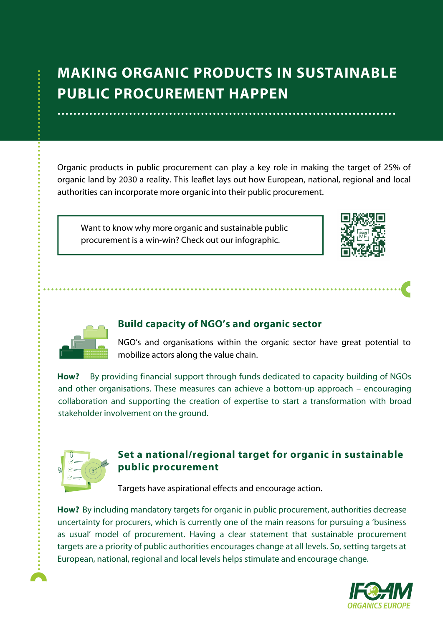# **MAKING ORGANIC PRODUCTS IN SUSTAINABLE PUBLIC PROCUREMENT HAPPEN**

Organic products in public procurement can play a key role in making the target of 25% of organic land by 2030 a reality. This leaflet lays out how European, national, regional and local authorities can incorporate more organic into their public procurement.

Want to know why more organic and sustainable public procurement is a win-win? Check out our infographic.





#### **Build capacity of NGO's and organic sector**

NGO's and organisations within the organic sector have great potential to mobilize actors along the value chain.

**How?** By providing financial support through funds dedicated to capacity building of NGOs and other organisations. These measures can achieve a bottom-up approach – encouraging collaboration and supporting the creation of expertise to start a transformation with broad stakeholder involvement on the ground.



## **Set a national/regional target for organic in sustainable public procurement**

Targets have aspirational effects and encourage action.

How? By including mandatory targets for organic in public procurement, authorities decrease uncertainty for procurers, which is currently one of the main reasons for pursuing a 'business as usual' model of procurement. Having a clear statement that sustainable procurement targets are a priority of public authorities encourages change at all levels. So, setting targets at European, national, regional and local levels helps stimulate and encourage change.